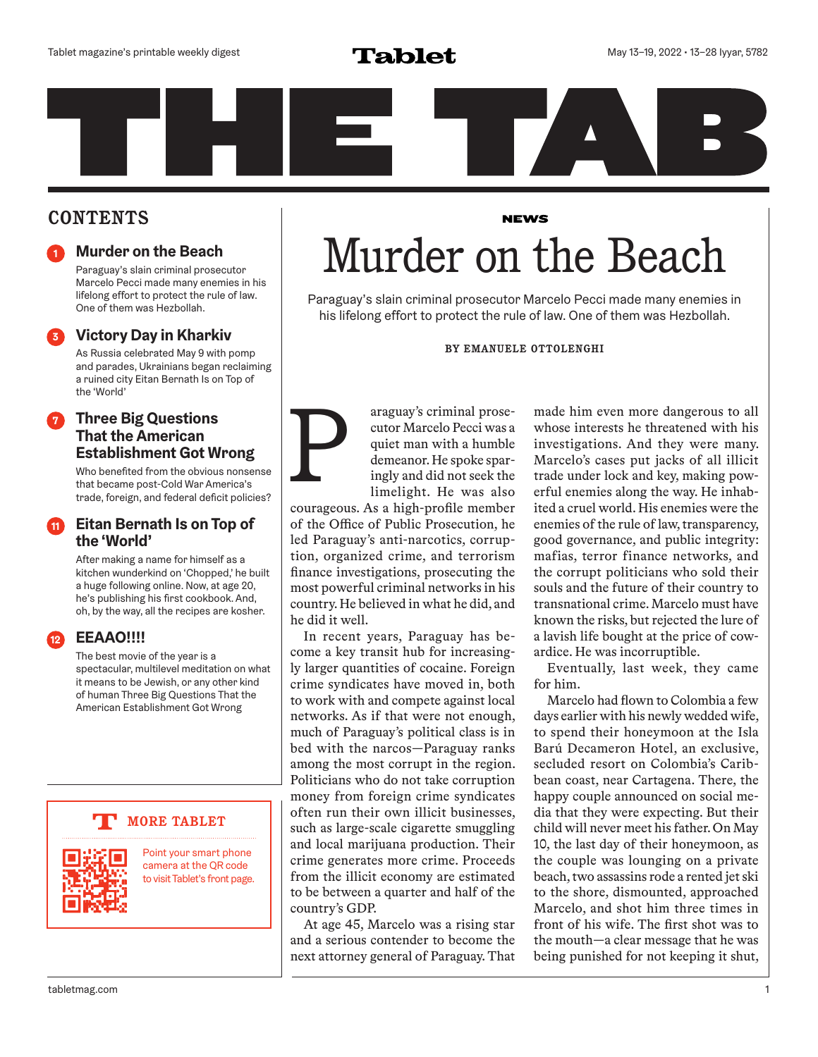

## **CONTENTS**

## **<sup>1</sup> Murder on the Beach**

Paraguay's slain criminal prosecutor Marcelo Pecci made many enemies in his lifelong effort to protect the rule of law. One of them was Hezbollah.

## **<sup>3</sup> Victory Day in Kharkiv**

As Russia celebrated May 9 with pomp and parades, Ukrainians began reclaiming a ruined city Eitan Bernath Is on Top of the 'World'

## **7 Three Big Questions<br>
<b>That the American**<br> **Establishment Got Wrong**<br>
Who benefited from the obvious nonsense<br>
that became post-Cold War America's<br>
trade. foreign. and federal deficit policies? **That the American Establishment Got Wrong**

Who benefited from the obvious nonsense that became post-Cold War America's trade, foreign, and federal deficit policies?

## **<sup>11</sup> Eitan Bernath Is on Top of the 'World'**

After making a name for himself as a kitchen wunderkind on 'Chopped,' he built a huge following online. Now, at age 20, he's publishing his first cookbook. And, oh, by the way, all the recipes are kosher.

## **<sup>12</sup> EEAAO!!!!**

The best movie of the year is a spectacular, multilevel meditation on what it means to be Jewish, or any other kind of human Three Big Questions That the American Establishment Got Wrong

## **MORE TABLET**



Point your smart phone camera at the QR code to visit Tablet's front page.

## **NEWS** Murder on the Beach

Paraguay's slain criminal prosecutor Marcelo Pecci made many enemies in his lifelong effort to protect the rule of law. One of them was Hezbollah.

### **BY EMANUELE OTTOLENGHI**

araguay's criminal prosecutor Marcelo Pecci was a quiet man with a humble demeanor. He spoke sparingly and did not seek the limelight. He was also

courageous. As a high-profile member of the Office of Public Prosecution, he led Paraguay's anti-narcotics, corruption, organized crime, and terrorism finance investigations, prosecuting the most powerful criminal networks in his country. He believed in what he did, and he did it well.

In recent years, Paraguay has become a key transit hub for increasingly larger quantities of cocaine. Foreign crime syndicates have moved in, both to work with and compete against local networks. As if that were not enough, much of Paraguay's political class is in bed with the narcos—Paraguay ranks among the most corrupt in the region. Politicians who do not take corruption money from foreign crime syndicates often run their own illicit businesses, such as large-scale cigarette smuggling and local marijuana production. Their crime generates more crime. Proceeds from the illicit economy are estimated to be between a quarter and half of the country's GDP.

At age 45, Marcelo was a rising star and a serious contender to become the next attorney general of Paraguay. That made him even more dangerous to all whose interests he threatened with his investigations. And they were many. Marcelo's cases put jacks of all illicit trade under lock and key, making powerful enemies along the way. He inhabited a cruel world. His enemies were the enemies of the rule of law, transparency, good governance, and public integrity: mafias, terror finance networks, and the corrupt politicians who sold their souls and the future of their country to transnational crime. Marcelo must have known the risks, but rejected the lure of a lavish life bought at the price of cowardice. He was incorruptible.

Eventually, last week, they came for him.

Marcelo had flown to Colombia a few days earlier with his newly wedded wife, to spend their honeymoon at the Isla Barú Decameron Hotel, an exclusive, secluded resort on Colombia's Caribbean coast, near Cartagena. There, the happy couple announced on social media that they were expecting. But their child will never meet his father. On May 10, the last day of their honeymoon, as the couple was lounging on a private beach, two assassins rode a rented jet ski to the shore, dismounted, approached Marcelo, and shot him three times in front of his wife. The first shot was to the mouth—a clear message that he was being punished for not keeping it shut,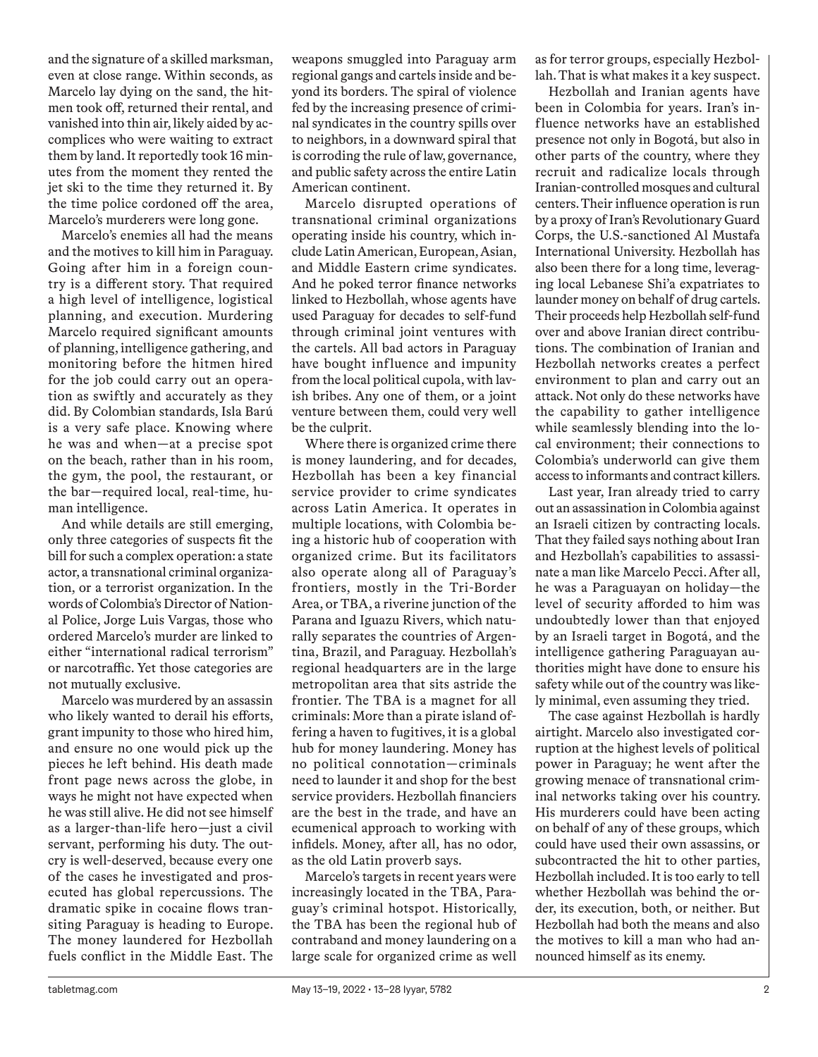and the signature of a skilled marksman, even at close range. Within seconds, as Marcelo lay dying on the sand, the hitmen took off, returned their rental, and vanished into thin air, likely aided by accomplices who were waiting to extract them by land. It reportedly took 16 minutes from the moment they rented the jet ski to the time they returned it. By the time police cordoned off the area, Marcelo's murderers were long gone.

Marcelo's enemies all had the means and the motives to kill him in Paraguay. Going after him in a foreign country is a different story. That required a high level of intelligence, logistical planning, and execution. Murdering Marcelo required significant amounts of planning, intelligence gathering, and monitoring before the hitmen hired for the job could carry out an operation as swiftly and accurately as they did. By Colombian standards, Isla Barú is a very safe place. Knowing where he was and when—at a precise spot on the beach, rather than in his room, the gym, the pool, the restaurant, or the bar—required local, real-time, human intelligence.

And while details are still emerging, only three categories of suspects fit the bill for such a complex operation: a state actor, a transnational criminal organization, or a terrorist organization. In the words of Colombia's Director of National Police, Jorge Luis Vargas, those who ordered Marcelo's murder are linked to either "international radical terrorism" or narcotraffic. Yet those categories are not mutually exclusive.

Marcelo was murdered by an assassin who likely wanted to derail his efforts, grant impunity to those who hired him, and ensure no one would pick up the pieces he left behind. His death made front page news across the globe, in ways he might not have expected when he was still alive. He did not see himself as a larger-than-life hero—just a civil servant, performing his duty. The outcry is well-deserved, because every one of the cases he investigated and prosecuted has global repercussions. The dramatic spike in cocaine flows transiting Paraguay is heading to Europe. The money laundered for Hezbollah fuels conflict in the Middle East. The

weapons smuggled into Paraguay arm regional gangs and cartels inside and beyond its borders. The spiral of violence fed by the increasing presence of criminal syndicates in the country spills over to neighbors, in a downward spiral that is corroding the rule of law, governance, and public safety across the entire Latin American continent.

Marcelo disrupted operations of transnational criminal organizations operating inside his country, which include Latin American, European, Asian, and Middle Eastern crime syndicates. And he poked terror finance networks linked to Hezbollah, whose agents have used Paraguay for decades to self-fund through criminal joint ventures with the cartels. All bad actors in Paraguay have bought influence and impunity from the local political cupola, with lavish bribes. Any one of them, or a joint venture between them, could very well be the culprit.

Where there is organized crime there is money laundering, and for decades, Hezbollah has been a key financial service provider to crime syndicates across Latin America. It operates in multiple locations, with Colombia being a historic hub of cooperation with organized crime. But its facilitators also operate along all of Paraguay's frontiers, mostly in the Tri-Border Area, or TBA, a riverine junction of the Parana and Iguazu Rivers, which naturally separates the countries of Argentina, Brazil, and Paraguay. Hezbollah's regional headquarters are in the large metropolitan area that sits astride the frontier. The TBA is a magnet for all criminals: More than a pirate island offering a haven to fugitives, it is a global hub for money laundering. Money has no political connotation—criminals need to launder it and shop for the best service providers. Hezbollah financiers are the best in the trade, and have an ecumenical approach to working with infidels. Money, after all, has no odor, as the old Latin proverb says.

Marcelo's targets in recent years were increasingly located in the TBA, Paraguay's criminal hotspot. Historically, the TBA has been the regional hub of contraband and money laundering on a large scale for organized crime as well as for terror groups, especially Hezbollah. That is what makes it a key suspect.

Hezbollah and Iranian agents have been in Colombia for years. Iran's influence networks have an established presence not only in Bogotá, but also in other parts of the country, where they recruit and radicalize locals through Iranian-controlled mosques and cultural centers. Their influence operation is run by a proxy of Iran's Revolutionary Guard Corps, the U.S.-sanctioned Al Mustafa International University. Hezbollah has also been there for a long time, leveraging local Lebanese Shi'a expatriates to launder money on behalf of drug cartels. Their proceeds help Hezbollah self-fund over and above Iranian direct contributions. The combination of Iranian and Hezbollah networks creates a perfect environment to plan and carry out an attack. Not only do these networks have the capability to gather intelligence while seamlessly blending into the local environment; their connections to Colombia's underworld can give them access to informants and contract killers.

Last year, Iran already tried to carry out an assassination in Colombia against an Israeli citizen by contracting locals. That they failed says nothing about Iran and Hezbollah's capabilities to assassinate a man like Marcelo Pecci. After all, he was a Paraguayan on holiday—the level of security afforded to him was undoubtedly lower than that enjoyed by an Israeli target in Bogotá, and the intelligence gathering Paraguayan authorities might have done to ensure his safety while out of the country was likely minimal, even assuming they tried.

The case against Hezbollah is hardly airtight. Marcelo also investigated corruption at the highest levels of political power in Paraguay; he went after the growing menace of transnational criminal networks taking over his country. His murderers could have been acting on behalf of any of these groups, which could have used their own assassins, or subcontracted the hit to other parties, Hezbollah included. It is too early to tell whether Hezbollah was behind the order, its execution, both, or neither. But Hezbollah had both the means and also the motives to kill a man who had announced himself as its enemy.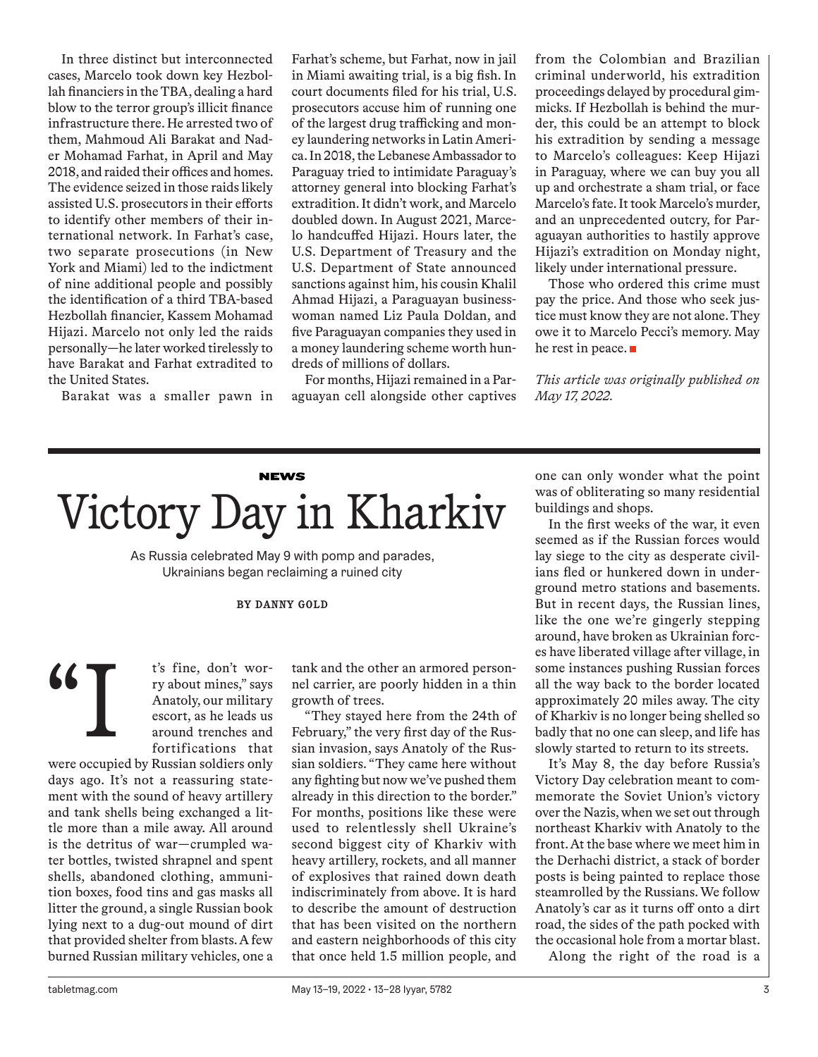In three distinct but interconnected cases, Marcelo took down key Hezbollah financiers in the TBA, dealing a hard blow to the terror group's illicit finance infrastructure there. He arrested two of them, Mahmoud Ali Barakat and Nader Mohamad Farhat, in April and May 2018, and raided their offices and homes. The evidence seized in those raids likely assisted U.S. prosecutors in their efforts to identify other members of their international network. In Farhat's case, two separate prosecutions (in New York and Miami) led to the indictment of nine additional people and possibly the identification of a third TBA-based Hezbollah financier, Kassem Mohamad Hijazi. Marcelo not only led the raids personally—he later worked tirelessly to have Barakat and Farhat extradited to the United States.

Barakat was a smaller pawn in

Farhat's scheme, but Farhat, now in jail in Miami awaiting trial, is a big fish. In court documents filed for his trial, U.S. prosecutors accuse him of running one of the largest drug trafficking and money laundering networks in Latin America. In 2018, the Lebanese Ambassador to Paraguay tried to intimidate Paraguay's attorney general into blocking Farhat's extradition. It didn't work, and Marcelo doubled down. In August 2021, Marcelo handcuffed Hijazi. Hours later, the U.S. Department of Treasury and the U.S. Department of State announced sanctions against him, his cousin Khalil Ahmad Hijazi, a Paraguayan businesswoman named Liz Paula Doldan, and five Paraguayan companies they used in a money laundering scheme worth hundreds of millions of dollars.

For months, Hijazi remained in a Paraguayan cell alongside other captives from the Colombian and Brazilian criminal underworld, his extradition proceedings delayed by procedural gimmicks. If Hezbollah is behind the murder, this could be an attempt to block his extradition by sending a message to Marcelo's colleagues: Keep Hijazi in Paraguay, where we can buy you all up and orchestrate a sham trial, or face Marcelo's fate. It took Marcelo's murder, and an unprecedented outcry, for Paraguayan authorities to hastily approve Hijazi's extradition on Monday night, likely under international pressure.

Those who ordered this crime must pay the price. And those who seek justice must know they are not alone. They owe it to Marcelo Pecci's memory. May he rest in peace.

*This article was originally published on May 17, 2022.*

## **NEWS** Victory Day in Kharkiv

As Russia celebrated May 9 with pomp and parades, Ukrainians began reclaiming a ruined city

### **BY DANNY GOLD**

t's fine, don't worry about mines," says Anatoly, our military escort, as he leads us around trenches and fortifications that "I

were occupied by Russian soldiers only days ago. It's not a reassuring statement with the sound of heavy artillery and tank shells being exchanged a little more than a mile away. All around is the detritus of war—crumpled water bottles, twisted shrapnel and spent shells, abandoned clothing, ammunition boxes, food tins and gas masks all litter the ground, a single Russian book lying next to a dug-out mound of dirt that provided shelter from blasts. A few burned Russian military vehicles, one a tank and the other an armored personnel carrier, are poorly hidden in a thin growth of trees.

"They stayed here from the 24th of February," the very first day of the Russian invasion, says Anatoly of the Russian soldiers. "They came here without any fighting but now we've pushed them already in this direction to the border." For months, positions like these were used to relentlessly shell Ukraine's second biggest city of Kharkiv with heavy artillery, rockets, and all manner of explosives that rained down death indiscriminately from above. It is hard to describe the amount of destruction that has been visited on the northern and eastern neighborhoods of this city that once held 1.5 million people, and

one can only wonder what the point was of obliterating so many residential buildings and shops.

In the first weeks of the war, it even seemed as if the Russian forces would lay siege to the city as desperate civilians fled or hunkered down in underground metro stations and basements. But in recent days, the Russian lines, like the one we're gingerly stepping around, have broken as Ukrainian forces have liberated village after village, in some instances pushing Russian forces all the way back to the border located approximately 20 miles away. The city of Kharkiv is no longer being shelled so badly that no one can sleep, and life has slowly started to return to its streets.

It's May 8, the day before Russia's Victory Day celebration meant to commemorate the Soviet Union's victory over the Nazis, when we set out through northeast Kharkiv with Anatoly to the front. At the base where we meet him in the Derhachi district, a stack of border posts is being painted to replace those steamrolled by the Russians. We follow Anatoly's car as it turns off onto a dirt road, the sides of the path pocked with the occasional hole from a mortar blast.

Along the right of the road is a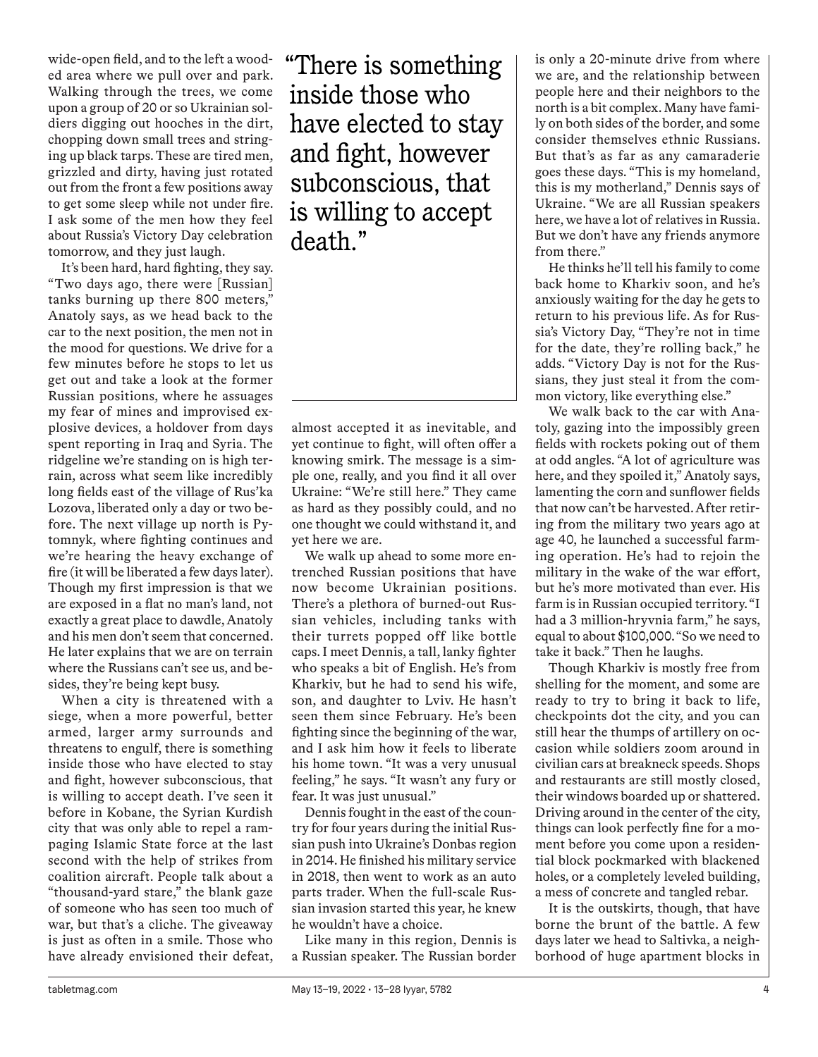wide-open field, and to the left a wooded area where we pull over and park. Walking through the trees, we come upon a group of 20 or so Ukrainian soldiers digging out hooches in the dirt, chopping down small trees and stringing up black tarps. These are tired men, grizzled and dirty, having just rotated out from the front a few positions away to get some sleep while not under fire. I ask some of the men how they feel about Russia's Victory Day celebration tomorrow, and they just laugh.

It's been hard, hard fighting, they say. "Two days ago, there were [Russian] tanks burning up there 800 meters," Anatoly says, as we head back to the car to the next position, the men not in the mood for questions. We drive for a few minutes before he stops to let us get out and take a look at the former Russian positions, where he assuages my fear of mines and improvised explosive devices, a holdover from days spent reporting in Iraq and Syria. The ridgeline we're standing on is high terrain, across what seem like incredibly long fields east of the village of Rus'ka Lozova, liberated only a day or two before. The next village up north is Pytomnyk, where fighting continues and we're hearing the heavy exchange of fire (it will be liberated a few days later). Though my first impression is that we are exposed in a flat no man's land, not exactly a great place to dawdle, Anatoly and his men don't seem that concerned. He later explains that we are on terrain where the Russians can't see us, and besides, they're being kept busy.

When a city is threatened with a siege, when a more powerful, better armed, larger army surrounds and threatens to engulf, there is something inside those who have elected to stay and fight, however subconscious, that is willing to accept death. I've seen it before in Kobane, the Syrian Kurdish city that was only able to repel a rampaging Islamic State force at the last second with the help of strikes from coalition aircraft. People talk about a "thousand-yard stare," the blank gaze of someone who has seen too much of war, but that's a cliche. The giveaway is just as often in a smile. Those who have already envisioned their defeat,

"There is something inside those who have elected to stay and fight, however subconscious, that is willing to accept death."

almost accepted it as inevitable, and yet continue to fight, will often offer a knowing smirk. The message is a simple one, really, and you find it all over Ukraine: "We're still here." They came as hard as they possibly could, and no one thought we could withstand it, and yet here we are.

We walk up ahead to some more entrenched Russian positions that have now become Ukrainian positions. There's a plethora of burned-out Russian vehicles, including tanks with their turrets popped off like bottle caps. I meet Dennis, a tall, lanky fighter who speaks a bit of English. He's from Kharkiv, but he had to send his wife, son, and daughter to Lviv. He hasn't seen them since February. He's been fighting since the beginning of the war, and I ask him how it feels to liberate his home town. "It was a very unusual feeling," he says. "It wasn't any fury or fear. It was just unusual."

Dennis fought in the east of the country for four years during the initial Russian push into Ukraine's Donbas region in 2014. He finished his military service in 2018, then went to work as an auto parts trader. When the full-scale Russian invasion started this year, he knew he wouldn't have a choice.

Like many in this region, Dennis is a Russian speaker. The Russian border is only a 20-minute drive from where we are, and the relationship between people here and their neighbors to the north is a bit complex. Many have family on both sides of the border, and some consider themselves ethnic Russians. But that's as far as any camaraderie goes these days. "This is my homeland, this is my motherland," Dennis says of Ukraine. "We are all Russian speakers here, we have a lot of relatives in Russia. But we don't have any friends anymore from there."

He thinks he'll tell his family to come back home to Kharkiv soon, and he's anxiously waiting for the day he gets to return to his previous life. As for Russia's Victory Day, "They're not in time for the date, they're rolling back," he adds. "Victory Day is not for the Russians, they just steal it from the common victory, like everything else."

We walk back to the car with Anatoly, gazing into the impossibly green fields with rockets poking out of them at odd angles. "A lot of agriculture was here, and they spoiled it," Anatoly says, lamenting the corn and sunflower fields that now can't be harvested. After retiring from the military two years ago at age 40, he launched a successful farming operation. He's had to rejoin the military in the wake of the war effort, but he's more motivated than ever. His farm is in Russian occupied territory. "I had a 3 million-hryvnia farm," he says, equal to about \$100,000. "So we need to take it back." Then he laughs.

Though Kharkiv is mostly free from shelling for the moment, and some are ready to try to bring it back to life, checkpoints dot the city, and you can still hear the thumps of artillery on occasion while soldiers zoom around in civilian cars at breakneck speeds. Shops and restaurants are still mostly closed, their windows boarded up or shattered. Driving around in the center of the city, things can look perfectly fine for a moment before you come upon a residential block pockmarked with blackened holes, or a completely leveled building, a mess of concrete and tangled rebar.

It is the outskirts, though, that have borne the brunt of the battle. A few days later we head to Saltivka, a neighborhood of huge apartment blocks in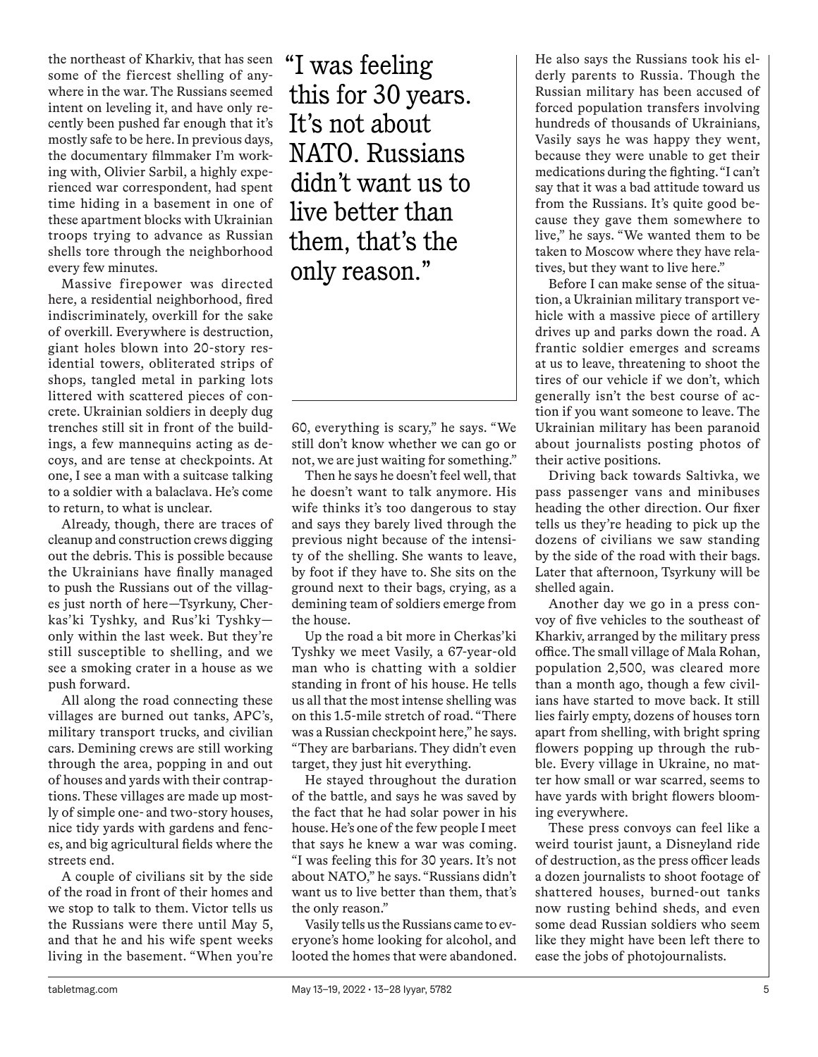the northeast of Kharkiv, that has seen some of the fiercest shelling of anywhere in the war. The Russians seemed intent on leveling it, and have only recently been pushed far enough that it's mostly safe to be here. In previous days, the documentary filmmaker I'm working with, Olivier Sarbil, a highly experienced war correspondent, had spent time hiding in a basement in one of these apartment blocks with Ukrainian troops trying to advance as Russian shells tore through the neighborhood every few minutes.

Massive firepower was directed here, a residential neighborhood, fired indiscriminately, overkill for the sake of overkill. Everywhere is destruction, giant holes blown into 20-story residential towers, obliterated strips of shops, tangled metal in parking lots littered with scattered pieces of concrete. Ukrainian soldiers in deeply dug trenches still sit in front of the buildings, a few mannequins acting as decoys, and are tense at checkpoints. At one, I see a man with a suitcase talking to a soldier with a balaclava. He's come to return, to what is unclear.

Already, though, there are traces of cleanup and construction crews digging out the debris. This is possible because the Ukrainians have finally managed to push the Russians out of the villages just north of here—Tsyrkuny, Cherkas'ki Tyshky, and Rus'ki Tyshky only within the last week. But they're still susceptible to shelling, and we see a smoking crater in a house as we push forward.

All along the road connecting these villages are burned out tanks, APC's, military transport trucks, and civilian cars. Demining crews are still working through the area, popping in and out of houses and yards with their contraptions. These villages are made up mostly of simple one- and two-story houses, nice tidy yards with gardens and fences, and big agricultural fields where the streets end.

A couple of civilians sit by the side of the road in front of their homes and we stop to talk to them. Victor tells us the Russians were there until May 5, and that he and his wife spent weeks living in the basement. "When you're "I was feeling this for 30 years. It's not about NATO. Russians didn't want us to live better than them, that's the only reason."

60, everything is scary," he says. "We still don't know whether we can go or not, we are just waiting for something."

Then he says he doesn't feel well, that he doesn't want to talk anymore. His wife thinks it's too dangerous to stay and says they barely lived through the previous night because of the intensity of the shelling. She wants to leave, by foot if they have to. She sits on the ground next to their bags, crying, as a demining team of soldiers emerge from the house.

Up the road a bit more in Cherkas'ki Tyshky we meet Vasily, a 67-year-old man who is chatting with a soldier standing in front of his house. He tells us all that the most intense shelling was on this 1.5-mile stretch of road. "There was a Russian checkpoint here," he says. "They are barbarians. They didn't even target, they just hit everything.

He stayed throughout the duration of the battle, and says he was saved by the fact that he had solar power in his house. He's one of the few people I meet that says he knew a war was coming. "I was feeling this for 30 years. It's not about NATO," he says. "Russians didn't want us to live better than them, that's the only reason."

Vasily tells us the Russians came to everyone's home looking for alcohol, and looted the homes that were abandoned. He also says the Russians took his elderly parents to Russia. Though the Russian military has been accused of forced population transfers involving hundreds of thousands of Ukrainians, Vasily says he was happy they went, because they were unable to get their medications during the fighting. "I can't say that it was a bad attitude toward us from the Russians. It's quite good because they gave them somewhere to live," he says. "We wanted them to be taken to Moscow where they have relatives, but they want to live here."

Before I can make sense of the situation, a Ukrainian military transport vehicle with a massive piece of artillery drives up and parks down the road. A frantic soldier emerges and screams at us to leave, threatening to shoot the tires of our vehicle if we don't, which generally isn't the best course of action if you want someone to leave. The Ukrainian military has been paranoid about journalists posting photos of their active positions.

Driving back towards Saltivka, we pass passenger vans and minibuses heading the other direction. Our fixer tells us they're heading to pick up the dozens of civilians we saw standing by the side of the road with their bags. Later that afternoon, Tsyrkuny will be shelled again.

Another day we go in a press convoy of five vehicles to the southeast of Kharkiv, arranged by the military press office. The small village of Mala Rohan, population 2,500, was cleared more than a month ago, though a few civilians have started to move back. It still lies fairly empty, dozens of houses torn apart from shelling, with bright spring flowers popping up through the rubble. Every village in Ukraine, no matter how small or war scarred, seems to have yards with bright flowers blooming everywhere.

These press convoys can feel like a weird tourist jaunt, a Disneyland ride of destruction, as the press officer leads a dozen journalists to shoot footage of shattered houses, burned-out tanks now rusting behind sheds, and even some dead Russian soldiers who seem like they might have been left there to ease the jobs of photojournalists.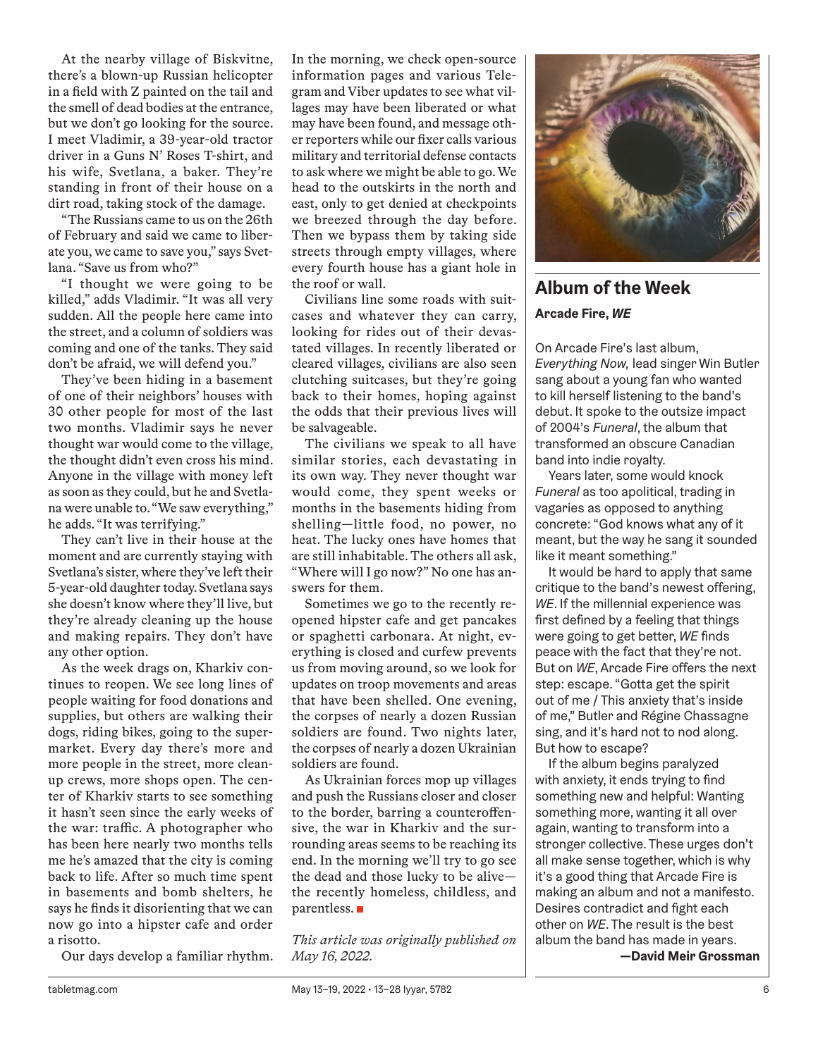At the nearby village of Biskvitne, there's a blown-up Russian helicopter in a field with Z painted on the tail and the smell of dead bodies at the entrance, but we don't go looking for the source. I meet Vladimir, a 39-year-old tractor driver in a Guns N' Roses T-shirt, and his wife, Svetlana, a baker. They're standing in front of their house on a dirt road, taking stock of the damage.

"The Russians came to us on the 26th of February and said we came to liberate you, we came to save you," says Svetlana. "Save us from who?"

"I thought we were going to be killed," adds Vladimir. "It was all very sudden. All the people here came into the street, and a column of soldiers was coming and one of the tanks. They said don't be afraid, we will defend you."

They've been hiding in a basement of one of their neighbors' houses with 30 other people for most of the last two months. Vladimir says he never thought war would come to the village, the thought didn't even cross his mind. Anyone in the village with money left as soon as they could, but he and Svetlana were unable to. "We saw everything," he adds. "It was terrifying."

They can't live in their house at the moment and are currently staying with Svetlana's sister, where they've left their 5-year-old daughter today. Svetlana says she doesn't know where they'll live, but they're already cleaning up the house and making repairs. They don't have any other option.

As the week drags on, Kharkiv continues to reopen. We see long lines of people waiting for food donations and supplies, but others are walking their dogs, riding bikes, going to the supermarket. Every day there's more and more people in the street, more cleanup crews, more shops open. The center of Kharkiv starts to see something it hasn't seen since the early weeks of the war: traffic. A photographer who has been here nearly two months tells me he's amazed that the city is coming back to life. After so much time spent in basements and bomb shelters, he says he finds it disorienting that we can now go into a hipster cafe and order a risotto.

Our days develop a familiar rhythm.

In the morning, we check open-source information pages and various Telegram and Viber updates to see what villages may have been liberated or what may have been found, and message other reporters while our fixer calls various military and territorial defense contacts to ask where we might be able to go. We head to the outskirts in the north and east, only to get denied at checkpoints we breezed through the day before. Then we bypass them by taking side streets through empty villages, where every fourth house has a giant hole in the roof or wall.

Civilians line some roads with suitcases and whatever they can carry, looking for rides out of their devastated villages. In recently liberated or cleared villages, civilians are also seen clutching suitcases, but they're going back to their homes, hoping against the odds that their previous lives will be salvageable.

The civilians we speak to all have similar stories, each devastating in its own way. They never thought war would come, they spent weeks or months in the basements hiding from shelling—little food, no power, no heat. The lucky ones have homes that are still inhabitable. The others all ask, "Where will I go now?" No one has answers for them.

Sometimes we go to the recently reopened hipster cafe and get pancakes or spaghetti carbonara. At night, everything is closed and curfew prevents us from moving around, so we look for updates on troop movements and areas that have been shelled. One evening, the corpses of nearly a dozen Russian soldiers are found. Two nights later, the corpses of nearly a dozen Ukrainian soldiers are found.

As Ukrainian forces mop up villages and push the Russians closer and closer to the border, barring a counteroffensive, the war in Kharkiv and the surrounding areas seems to be reaching its end. In the morning we'll try to go see the dead and those lucky to be alive the recently homeless, childless, and parentless.

*This article was originally published on May 16, 2022.*



## **Album of the Week**

## **Arcade Fire,** *WE*

On Arcade Fire's last album, *Everything Now,* lead singer Win Butler sang about a young fan who wanted to kill herself listening to the band's debut. It spoke to the outsize impact of 2004's *Funeral*, the album that transformed an obscure Canadian band into indie royalty.

Years later, some would knock *Funeral* as too apolitical, trading in vagaries as opposed to anything concrete: "God knows what any of it meant, but the way he sang it sounded like it meant something."

It would be hard to apply that same critique to the band's newest offering, *WE*. If the millennial experience was first defined by a feeling that things were going to get better, *WE* finds peace with the fact that they're not. But on *WE*, Arcade Fire offers the next step: escape. "Gotta get the spirit out of me / This anxiety that's inside of me," Butler and Régine Chassagne sing, and it's hard not to nod along. But how to escape?

If the album begins paralyzed with anxiety, it ends trying to find something new and helpful: Wanting something more, wanting it all over again, wanting to transform into a stronger collective. These urges don't all make sense together, which is why it's a good thing that Arcade Fire is making an album and not a manifesto. Desires contradict and fight each other on *WE*. The result is the best album the band has made in years.

**—David Meir Grossman**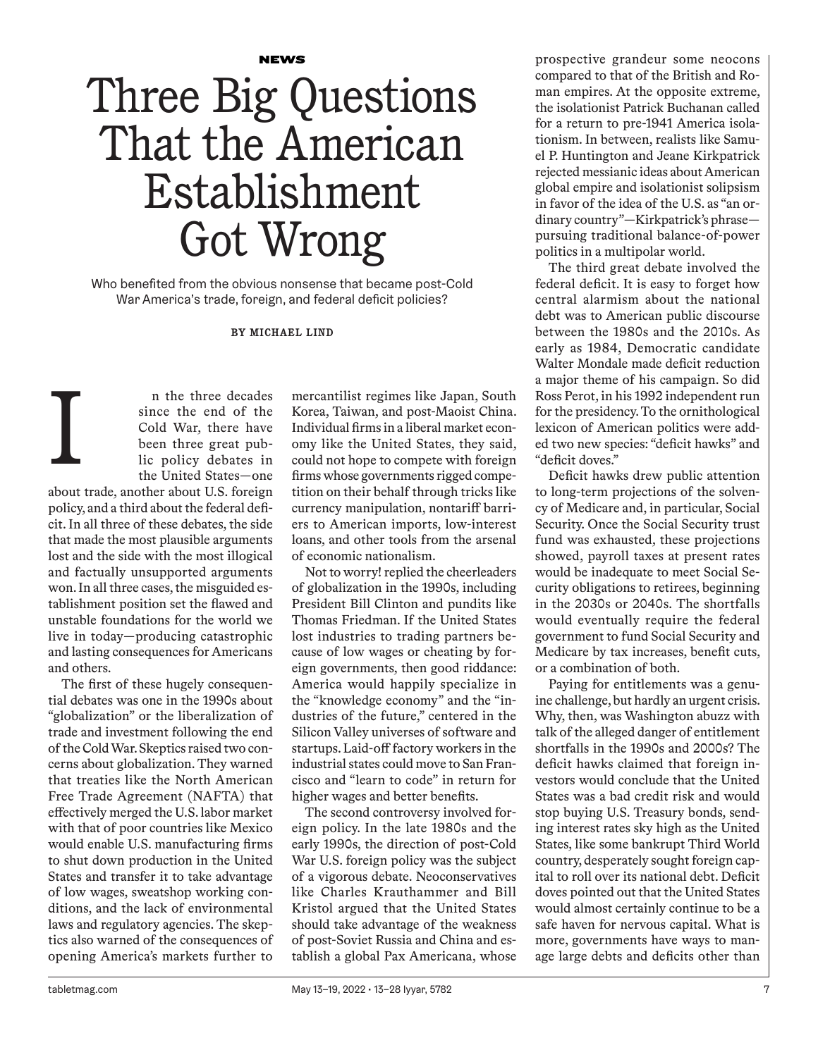**NEWS** 

## Three Big Questions That the American Establishment Got Wrong

Who benefited from the obvious nonsense that became post-Cold War America's trade, foreign, and federal deficit policies?

**BY MICHAEL LIND**

n the three decades since the end of the Cold War, there have been three great public policy debates in the United States—one about trade, another about U.S. foreign

policy, and a third about the federal deficit. In all three of these debates, the side that made the most plausible arguments lost and the side with the most illogical and factually unsupported arguments won. In all three cases, the misguided establishment position set the flawed and unstable foundations for the world we live in today—producing catastrophic and lasting consequences for Americans and others.

I

The first of these hugely consequential debates was one in the 1990s about "globalization" or the liberalization of trade and investment following the end of the Cold War. Skeptics raised two concerns about globalization. They warned that treaties like the North American Free Trade Agreement (NAFTA) that effectively merged the U.S. labor market with that of poor countries like Mexico would enable U.S. manufacturing firms to shut down production in the United States and transfer it to take advantage of low wages, sweatshop working conditions, and the lack of environmental laws and regulatory agencies. The skeptics also warned of the consequences of opening America's markets further to

mercantilist regimes like Japan, South Korea, Taiwan, and post-Maoist China. Individual firms in a liberal market economy like the United States, they said, could not hope to compete with foreign firms whose governments rigged competition on their behalf through tricks like currency manipulation, nontariff barriers to American imports, low-interest loans, and other tools from the arsenal of economic nationalism.

Not to worry! replied the cheerleaders of globalization in the 1990s, including President Bill Clinton and pundits like Thomas Friedman. If the United States lost industries to trading partners because of low wages or cheating by foreign governments, then good riddance: America would happily specialize in the "knowledge economy" and the "industries of the future," centered in the Silicon Valley universes of software and startups. Laid-off factory workers in the industrial states could move to San Francisco and "learn to code" in return for higher wages and better benefits.

The second controversy involved foreign policy. In the late 1980s and the early 1990s, the direction of post-Cold War U.S. foreign policy was the subject of a vigorous debate. Neoconservatives like Charles Krauthammer and Bill Kristol argued that the United States should take advantage of the weakness of post-Soviet Russia and China and establish a global Pax Americana, whose prospective grandeur some neocons compared to that of the British and Roman empires. At the opposite extreme, the isolationist Patrick Buchanan called for a return to pre-1941 America isolationism. In between, realists like Samuel P. Huntington and Jeane Kirkpatrick rejected messianic ideas about American global empire and isolationist solipsism in favor of the idea of the U.S. as "an ordinary country"—Kirkpatrick's phrase pursuing traditional balance-of-power politics in a multipolar world.

The third great debate involved the federal deficit. It is easy to forget how central alarmism about the national debt was to American public discourse between the 1980s and the 2010s. As early as 1984, Democratic candidate Walter Mondale made deficit reduction a major theme of his campaign. So did Ross Perot, in his 1992 independent run for the presidency. To the ornithological lexicon of American politics were added two new species: "deficit hawks" and "deficit doves."

Deficit hawks drew public attention to long-term projections of the solvency of Medicare and, in particular, Social Security. Once the Social Security trust fund was exhausted, these projections showed, payroll taxes at present rates would be inadequate to meet Social Security obligations to retirees, beginning in the 2030s or 2040s. The shortfalls would eventually require the federal government to fund Social Security and Medicare by tax increases, benefit cuts, or a combination of both.

Paying for entitlements was a genuine challenge, but hardly an urgent crisis. Why, then, was Washington abuzz with talk of the alleged danger of entitlement shortfalls in the 1990s and 2000s? The deficit hawks claimed that foreign investors would conclude that the United States was a bad credit risk and would stop buying U.S. Treasury bonds, sending interest rates sky high as the United States, like some bankrupt Third World country, desperately sought foreign capital to roll over its national debt. Deficit doves pointed out that the United States would almost certainly continue to be a safe haven for nervous capital. What is more, governments have ways to manage large debts and deficits other than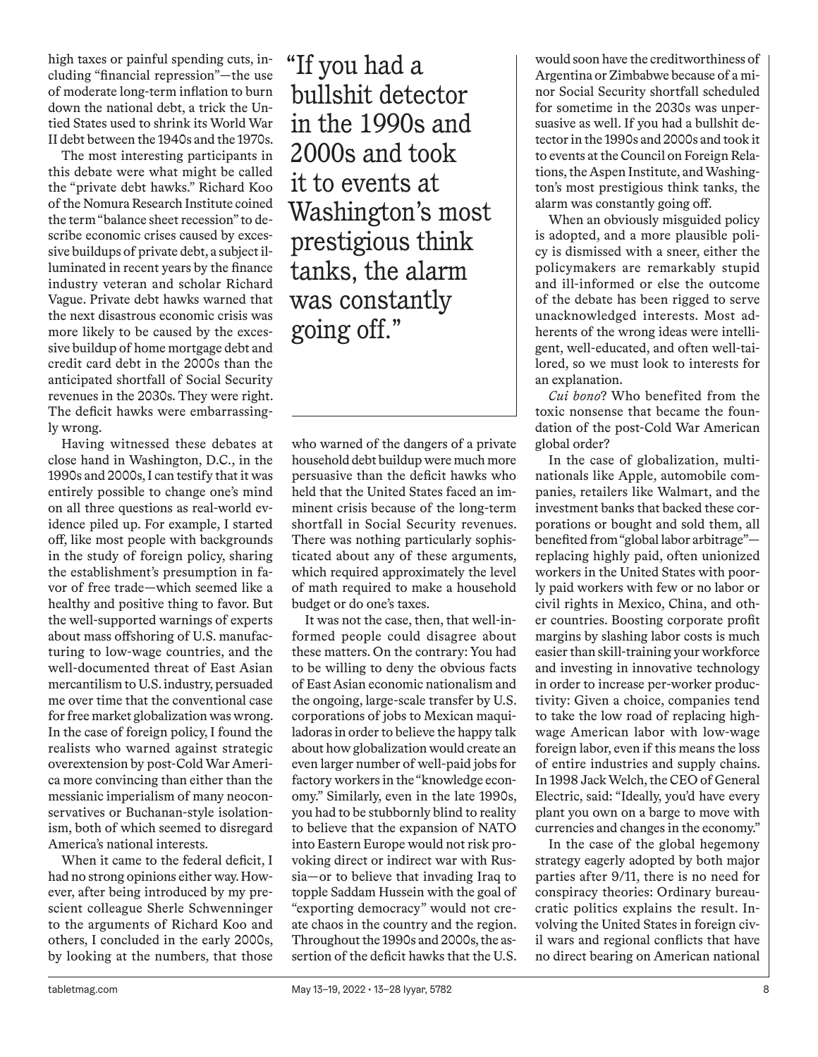high taxes or painful spending cuts, including "financial repression"—the use of moderate long-term inflation to burn down the national debt, a trick the Untied States used to shrink its World War II debt between the 1940s and the 1970s.

The most interesting participants in this debate were what might be called the "private debt hawks." Richard Koo of the Nomura Research Institute coined the term "balance sheet recession" to describe economic crises caused by excessive buildups of private debt, a subject illuminated in recent years by the finance industry veteran and scholar Richard Vague. Private debt hawks warned that the next disastrous economic crisis was more likely to be caused by the excessive buildup of home mortgage debt and credit card debt in the 2000s than the anticipated shortfall of Social Security revenues in the 2030s. They were right. The deficit hawks were embarrassingly wrong.

Having witnessed these debates at close hand in Washington, D.C., in the 1990s and 2000s, I can testify that it was entirely possible to change one's mind on all three questions as real-world evidence piled up. For example, I started off, like most people with backgrounds in the study of foreign policy, sharing the establishment's presumption in favor of free trade—which seemed like a healthy and positive thing to favor. But the well-supported warnings of experts about mass offshoring of U.S. manufacturing to low-wage countries, and the well-documented threat of East Asian mercantilism to U.S. industry, persuaded me over time that the conventional case for free market globalization was wrong. In the case of foreign policy, I found the realists who warned against strategic overextension by post-Cold War America more convincing than either than the messianic imperialism of many neoconservatives or Buchanan-style isolationism, both of which seemed to disregard America's national interests.

When it came to the federal deficit, I had no strong opinions either way. However, after being introduced by my prescient colleague Sherle Schwenninger to the arguments of Richard Koo and others, I concluded in the early 2000s, by looking at the numbers, that those

"If you had a bullshit detector in the 1990s and 2000s and took it to events at Washington's most prestigious think tanks, the alarm was constantly going off."

who warned of the dangers of a private household debt buildup were much more persuasive than the deficit hawks who held that the United States faced an imminent crisis because of the long-term shortfall in Social Security revenues. There was nothing particularly sophisticated about any of these arguments, which required approximately the level of math required to make a household budget or do one's taxes.

It was not the case, then, that well-informed people could disagree about these matters. On the contrary: You had to be willing to deny the obvious facts of East Asian economic nationalism and the ongoing, large-scale transfer by U.S. corporations of jobs to Mexican maquiladoras in order to believe the happy talk about how globalization would create an even larger number of well-paid jobs for factory workers in the "knowledge economy." Similarly, even in the late 1990s, you had to be stubbornly blind to reality to believe that the expansion of NATO into Eastern Europe would not risk provoking direct or indirect war with Russia—or to believe that invading Iraq to topple Saddam Hussein with the goal of "exporting democracy" would not create chaos in the country and the region. Throughout the 1990s and 2000s, the assertion of the deficit hawks that the U.S.

would soon have the creditworthiness of Argentina or Zimbabwe because of a minor Social Security shortfall scheduled for sometime in the 2030s was unpersuasive as well. If you had a bullshit detector in the 1990s and 2000s and took it to events at the Council on Foreign Relations, the Aspen Institute, and Washington's most prestigious think tanks, the alarm was constantly going off.

When an obviously misguided policy is adopted, and a more plausible policy is dismissed with a sneer, either the policymakers are remarkably stupid and ill-informed or else the outcome of the debate has been rigged to serve unacknowledged interests. Most adherents of the wrong ideas were intelligent, well-educated, and often well-tailored, so we must look to interests for an explanation.

*Cui bono*? Who benefited from the toxic nonsense that became the foundation of the post-Cold War American global order?

In the case of globalization, multinationals like Apple, automobile companies, retailers like Walmart, and the investment banks that backed these corporations or bought and sold them, all benefited from "global labor arbitrage" replacing highly paid, often unionized workers in the United States with poorly paid workers with few or no labor or civil rights in Mexico, China, and other countries. Boosting corporate profit margins by slashing labor costs is much easier than skill-training your workforce and investing in innovative technology in order to increase per-worker productivity: Given a choice, companies tend to take the low road of replacing highwage American labor with low-wage foreign labor, even if this means the loss of entire industries and supply chains. In 1998 Jack Welch, the CEO of General Electric, said: "Ideally, you'd have every plant you own on a barge to move with currencies and changes in the economy."

In the case of the global hegemony strategy eagerly adopted by both major parties after 9/11, there is no need for conspiracy theories: Ordinary bureaucratic politics explains the result. Involving the United States in foreign civil wars and regional conflicts that have no direct bearing on American national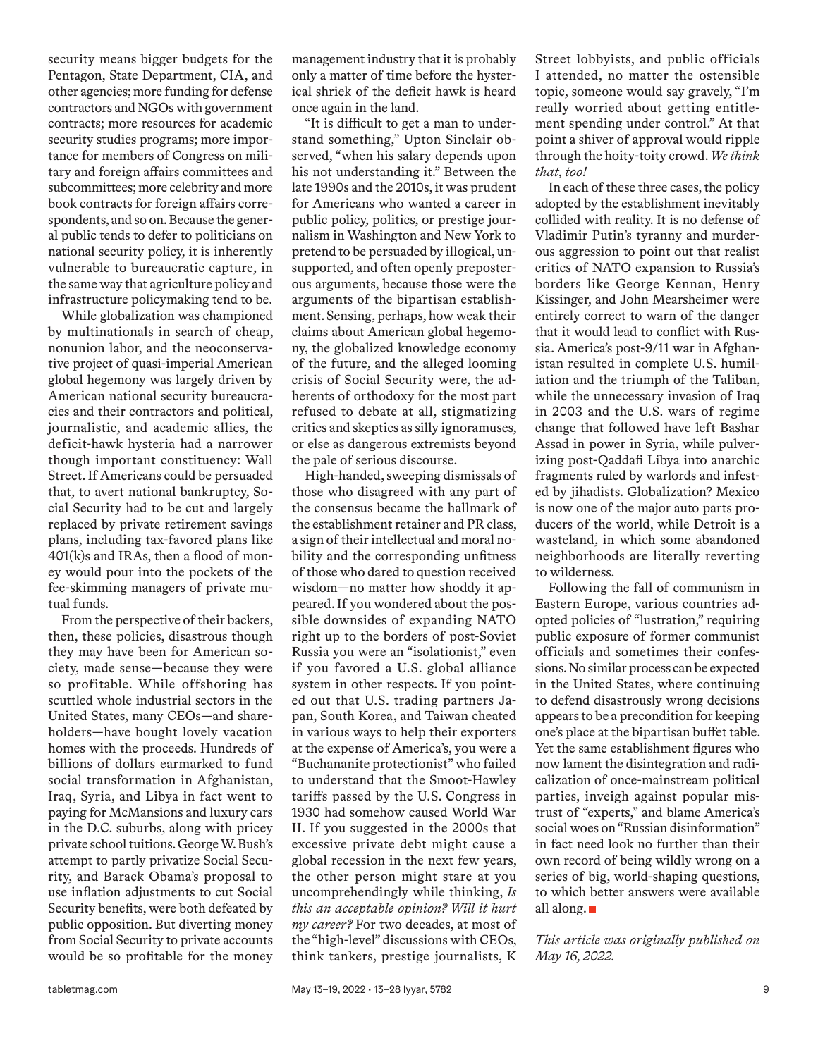security means bigger budgets for the Pentagon, State Department, CIA, and other agencies; more funding for defense contractors and NGOs with government contracts; more resources for academic security studies programs; more importance for members of Congress on military and foreign affairs committees and subcommittees; more celebrity and more book contracts for foreign affairs correspondents, and so on. Because the general public tends to defer to politicians on national security policy, it is inherently vulnerable to bureaucratic capture, in the same way that agriculture policy and infrastructure policymaking tend to be.

While globalization was championed by multinationals in search of cheap, nonunion labor, and the neoconservative project of quasi-imperial American global hegemony was largely driven by American national security bureaucracies and their contractors and political, journalistic, and academic allies, the deficit-hawk hysteria had a narrower though important constituency: Wall Street. If Americans could be persuaded that, to avert national bankruptcy, Social Security had to be cut and largely replaced by private retirement savings plans, including tax-favored plans like  $401(k)$ s and IRAs, then a flood of money would pour into the pockets of the fee-skimming managers of private mutual funds.

From the perspective of their backers, then, these policies, disastrous though they may have been for American society, made sense—because they were so profitable. While offshoring has scuttled whole industrial sectors in the United States, many CEOs—and shareholders—have bought lovely vacation homes with the proceeds. Hundreds of billions of dollars earmarked to fund social transformation in Afghanistan, Iraq, Syria, and Libya in fact went to paying for McMansions and luxury cars in the D.C. suburbs, along with pricey private school tuitions. George W. Bush's attempt to partly privatize Social Security, and Barack Obama's proposal to use inflation adjustments to cut Social Security benefits, were both defeated by public opposition. But diverting money from Social Security to private accounts would be so profitable for the money

management industry that it is probably only a matter of time before the hysterical shriek of the deficit hawk is heard once again in the land.

"It is difficult to get a man to understand something," Upton Sinclair observed, "when his salary depends upon his not understanding it." Between the late 1990s and the 2010s, it was prudent for Americans who wanted a career in public policy, politics, or prestige journalism in Washington and New York to pretend to be persuaded by illogical, unsupported, and often openly preposterous arguments, because those were the arguments of the bipartisan establishment. Sensing, perhaps, how weak their claims about American global hegemony, the globalized knowledge economy of the future, and the alleged looming crisis of Social Security were, the adherents of orthodoxy for the most part refused to debate at all, stigmatizing critics and skeptics as silly ignoramuses, or else as dangerous extremists beyond the pale of serious discourse.

High-handed, sweeping dismissals of those who disagreed with any part of the consensus became the hallmark of the establishment retainer and PR class, a sign of their intellectual and moral nobility and the corresponding unfitness of those who dared to question received wisdom—no matter how shoddy it appeared. If you wondered about the possible downsides of expanding NATO right up to the borders of post-Soviet Russia you were an "isolationist," even if you favored a U.S. global alliance system in other respects. If you pointed out that U.S. trading partners Japan, South Korea, and Taiwan cheated in various ways to help their exporters at the expense of America's, you were a "Buchananite protectionist" who failed to understand that the Smoot-Hawley tariffs passed by the U.S. Congress in 1930 had somehow caused World War II. If you suggested in the 2000s that excessive private debt might cause a global recession in the next few years, the other person might stare at you uncomprehendingly while thinking, *Is this an acceptable opinion? Will it hurt my career?* For two decades, at most of the "high-level" discussions with CEOs, think tankers, prestige journalists, K

Street lobbyists, and public officials I attended, no matter the ostensible topic, someone would say gravely, "I'm really worried about getting entitlement spending under control." At that point a shiver of approval would ripple through the hoity-toity crowd. *We think that, too!*

In each of these three cases, the policy adopted by the establishment inevitably collided with reality. It is no defense of Vladimir Putin's tyranny and murderous aggression to point out that realist critics of NATO expansion to Russia's borders like George Kennan, Henry Kissinger, and John Mearsheimer were entirely correct to warn of the danger that it would lead to conflict with Russia. America's post-9/11 war in Afghanistan resulted in complete U.S. humiliation and the triumph of the Taliban, while the unnecessary invasion of Iraq in 2003 and the U.S. wars of regime change that followed have left Bashar Assad in power in Syria, while pulverizing post-Qaddafi Libya into anarchic fragments ruled by warlords and infested by jihadists. Globalization? Mexico is now one of the major auto parts producers of the world, while Detroit is a wasteland, in which some abandoned neighborhoods are literally reverting to wilderness.

Following the fall of communism in Eastern Europe, various countries adopted policies of "lustration," requiring public exposure of former communist officials and sometimes their confessions. No similar process can be expected in the United States, where continuing to defend disastrously wrong decisions appears to be a precondition for keeping one's place at the bipartisan buffet table. Yet the same establishment figures who now lament the disintegration and radicalization of once-mainstream political parties, inveigh against popular mistrust of "experts," and blame America's social woes on "Russian disinformation" in fact need look no further than their own record of being wildly wrong on a series of big, world-shaping questions, to which better answers were available all along.

*This article was originally published on May 16, 2022.*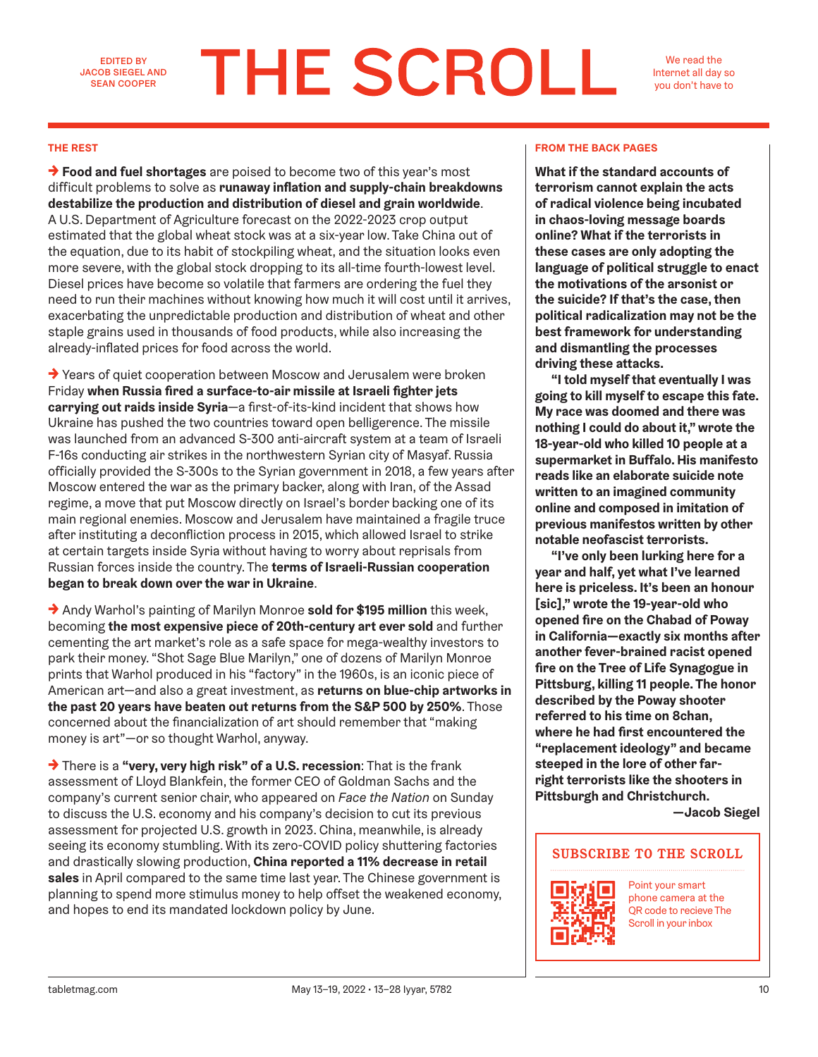EDITED BY JACOB SIEGEL AND SEAN COOPER

# **THE SCROLL**

We read the Internet all day so you don't have to

→ **Food and fuel shortages** are poised to become two of this year's most difficult problems to solve as **runaway inflation and supply-chain breakdowns destabilize the production and distribution of diesel and grain worldwide**. A U.S. Department of Agriculture forecast on the 2022-2023 crop output estimated that the global wheat stock was at a six-year low. Take China out of the equation, due to its habit of stockpiling wheat, and the situation looks even more severe, with the global stock dropping to its all-time fourth-lowest level. Diesel prices have become so volatile that farmers are ordering the fuel they need to run their machines without knowing how much it will cost until it arrives, exacerbating the unpredictable production and distribution of wheat and other staple grains used in thousands of food products, while also increasing the already-inflated prices for food across the world.

→ Years of quiet cooperation between Moscow and Jerusalem were broken Friday **when Russia fired a surface-to-air missile at Israeli fighter jets carrying out raids inside Syria**—a first-of-its-kind incident that shows how Ukraine has pushed the two countries toward open belligerence. The missile was launched from an advanced S-300 anti-aircraft system at a team of Israeli F-16s conducting air strikes in the northwestern Syrian city of Masyaf. Russia officially provided the S-300s to the Syrian government in 2018, a few years after Moscow entered the war as the primary backer, along with Iran, of the Assad regime, a move that put Moscow directly on Israel's border backing one of its main regional enemies. Moscow and Jerusalem have maintained a fragile truce after instituting a deconfliction process in 2015, which allowed Israel to strike at certain targets inside Syria without having to worry about reprisals from Russian forces inside the country. The **terms of Israeli-Russian cooperation began to break down over the war in Ukraine**.

→ Andy Warhol's painting of Marilyn Monroe **sold for \$195 million** this week, becoming **the most expensive piece of 20th-century art ever sold** and further cementing the art market's role as a safe space for mega-wealthy investors to park their money. "Shot Sage Blue Marilyn," one of dozens of Marilyn Monroe prints that Warhol produced in his "factory" in the 1960s, is an iconic piece of American art—and also a great investment, as **returns on blue-chip artworks in the past 20 years have beaten out returns from the S&P 500 by 250%**. Those concerned about the financialization of art should remember that "making money is art"—or so thought Warhol, anyway.

→ There is a **"very, very high risk" of a U.S. recession**: That is the frank assessment of Lloyd Blankfein, the former CEO of Goldman Sachs and the company's current senior chair, who appeared on *Face the Nation* on Sunday to discuss the U.S. economy and his company's decision to cut its previous assessment for projected U.S. growth in 2023. China, meanwhile, is already seeing its economy stumbling. With its zero-COVID policy shuttering factories and drastically slowing production, **China reported a 11% decrease in retail sales** in April compared to the same time last year. The Chinese government is planning to spend more stimulus money to help offset the weakened economy, and hopes to end its mandated lockdown policy by June.

### **THE REST FROM THE BACK PAGES**

**What if the standard accounts of terrorism cannot explain the acts of radical violence being incubated in chaos-loving message boards online? What if the terrorists in these cases are only adopting the language of political struggle to enact the motivations of the arsonist or the suicide? If that's the case, then political radicalization may not be the best framework for understanding and dismantling the processes driving these attacks.**

**"I told myself that eventually I was going to kill myself to escape this fate. My race was doomed and there was nothing I could do about it," wrote the 18-year-old who killed 10 people at a supermarket in Buffalo. His manifesto reads like an elaborate suicide note written to an imagined community online and composed in imitation of previous manifestos written by other notable neofascist terrorists.**

**"I've only been lurking here for a year and half, yet what I've learned here is priceless. It's been an honour [sic]," wrote the 19-year-old who opened fire on the Chabad of Poway in California—exactly six months after another fever-brained racist opened fire on the Tree of Life Synagogue in Pittsburg, killing 11 people. The honor described by the Poway shooter referred to his time on 8chan, where he had first encountered the "replacement ideology" and became steeped in the lore of other farright terrorists like the shooters in Pittsburgh and Christchurch.** 

**—Jacob Siegel**

## **SUBSCRIBE TO THE SCROLL**



Point your smart phone camera at the QR code to recieve The Scroll in your inbox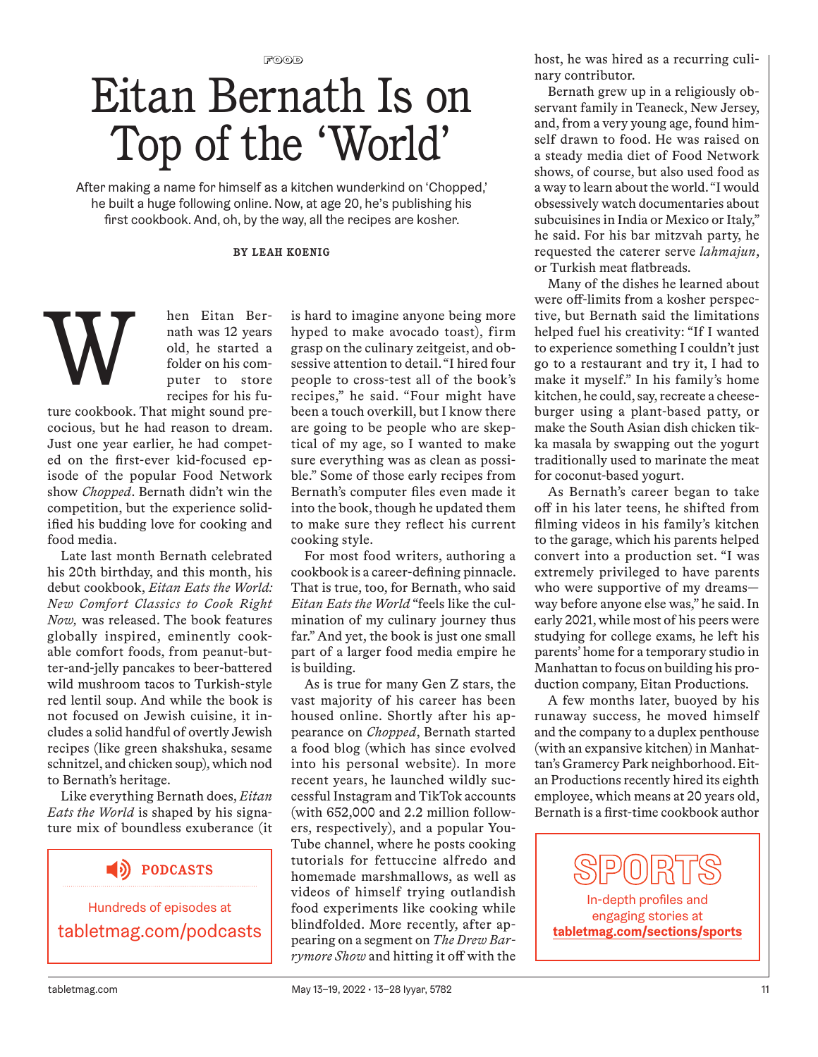$F$ <sup>O</sup>

## Eitan Bernath Is on Top of the 'World'

After making a name for himself as a kitchen wunderkind on 'Chopped,' he built a huge following online. Now, at age 20, he's publishing his first cookbook. And, oh, by the way, all the recipes are kosher.

### **BY LEAH KOENIG**

W

hen Eitan Bernath was 12 years old, he started a folder on his computer to store recipes for his fu-

ture cookbook. That might sound precocious, but he had reason to dream. Just one year earlier, he had competed on the first-ever kid-focused episode of the popular Food Network show *Chopped*. Bernath didn't win the competition, but the experience solidified his budding love for cooking and food media.

Late last month Bernath celebrated his 20th birthday, and this month, his debut cookbook, *Eitan Eats the World: New Comfort Classics to Cook Right Now,* was released. The book features globally inspired, eminently cookable comfort foods, from peanut-butter-and-jelly pancakes to beer-battered wild mushroom tacos to Turkish-style red lentil soup. And while the book is not focused on Jewish cuisine, it includes a solid handful of overtly Jewish recipes (like green shakshuka, sesame schnitzel, and chicken soup), which nod to Bernath's heritage.

Like everything Bernath does, *Eitan Eats the World* is shaped by his signature mix of boundless exuberance (it

## **PODCASTS**

Hundreds of episodes at tabletmag.com/podcasts is hard to imagine anyone being more hyped to make avocado toast), firm grasp on the culinary zeitgeist, and obsessive attention to detail. "I hired four people to cross-test all of the book's recipes," he said. "Four might have been a touch overkill, but I know there are going to be people who are skeptical of my age, so I wanted to make sure everything was as clean as possible." Some of those early recipes from Bernath's computer files even made it into the book, though he updated them to make sure they reflect his current cooking style.

For most food writers, authoring a cookbook is a career-defining pinnacle. That is true, too, for Bernath, who said *Eitan Eats the World* "feels like the culmination of my culinary journey thus far." And yet, the book is just one small part of a larger food media empire he is building.

As is true for many Gen Z stars, the vast majority of his career has been housed online. Shortly after his appearance on *Chopped*, Bernath started a food blog (which has since evolved into his personal website). In more recent years, he launched wildly successful Instagram and TikTok accounts (with 652,000 and 2.2 million followers, respectively), and a popular You-Tube channel, where he posts cooking tutorials for fettuccine alfredo and homemade marshmallows, as well as videos of himself trying outlandish food experiments like cooking while blindfolded. More recently, after appearing on a segment on *The Drew Barrymore Show* and hitting it off with the host, he was hired as a recurring culinary contributor.

Bernath grew up in a religiously observant family in Teaneck, New Jersey, and, from a very young age, found himself drawn to food. He was raised on a steady media diet of Food Network shows, of course, but also used food as a way to learn about the world. "I would obsessively watch documentaries about subcuisines in India or Mexico or Italy," he said. For his bar mitzvah party, he requested the caterer serve *lahmajun*, or Turkish meat flatbreads.

Many of the dishes he learned about were off-limits from a kosher perspective, but Bernath said the limitations helped fuel his creativity: "If I wanted to experience something I couldn't just go to a restaurant and try it, I had to make it myself." In his family's home kitchen, he could, say, recreate a cheeseburger using a plant-based patty, or make the South Asian dish chicken tikka masala by swapping out the yogurt traditionally used to marinate the meat for coconut-based yogurt.

As Bernath's career began to take off in his later teens, he shifted from filming videos in his family's kitchen to the garage, which his parents helped convert into a production set. "I was extremely privileged to have parents who were supportive of my dreams way before anyone else was," he said. In early 2021, while most of his peers were studying for college exams, he left his parents' home for a temporary studio in Manhattan to focus on building his production company, Eitan Productions.

A few months later, buoyed by his runaway success, he moved himself and the company to a duplex penthouse (with an expansive kitchen) in Manhattan's Gramercy Park neighborhood. Eitan Productions recently hired its eighth employee, which means at 20 years old, Bernath is a first-time cookbook author

In-depth profiles and engaging stories at **tabletmag.com/sections/sports**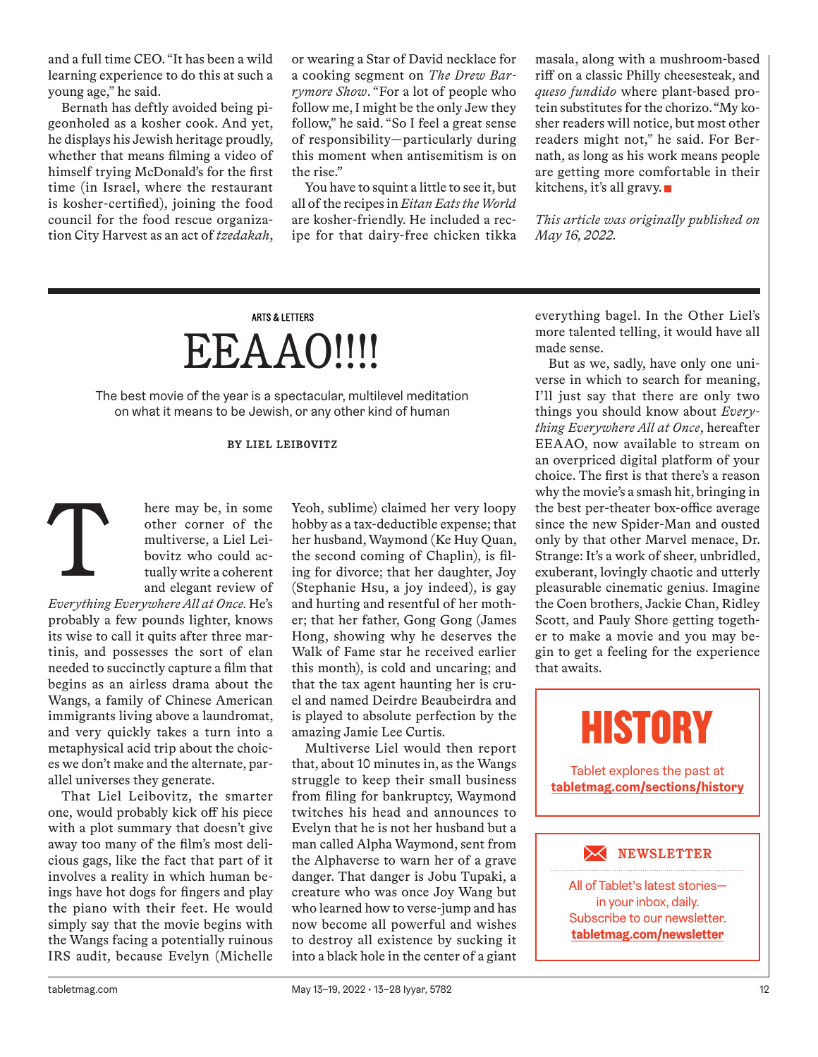and a full time CEO. "It has been a wild learning experience to do this at such a young age," he said.

Bernath has deftly avoided being pigeonholed as a kosher cook. And yet, he displays his Jewish heritage proudly, whether that means filming a video of himself trying McDonald's for the first time (in Israel, where the restaurant is kosher-certified), joining the food council for the food rescue organization City Harvest as an act of *tzedakah*, or wearing a Star of David necklace for a cooking segment on *The Drew Barrymore Show*. "For a lot of people who follow me, I might be the only Jew they follow," he said. "So I feel a great sense of responsibility—particularly during this moment when antisemitism is on the rise."

You have to squint a little to see it, but all of the recipes in *Eitan Eats the World* are kosher-friendly. He included a recipe for that dairy-free chicken tikka masala, along with a mushroom-based riff on a classic Philly cheesesteak, and *queso fundido* where plant-based protein substitutes for the chorizo. "My kosher readers will notice, but most other readers might not," he said. For Bernath, as long as his work means people are getting more comfortable in their kitchens, it's all gravy.

*This article was originally published on May 16, 2022.*

## **ARTS & LETTERS** EEAAO!!!!

The best movie of the year is a spectacular, multilevel meditation on what it means to be Jewish, or any other kind of human

### **BY LIEL LEIBOVITZ**

here may be, in some other corner of the multiverse, a Liel Leibovitz who could actually write a coherent and elegant review of T

*Everything Everywhere All at Once.* He's probably a few pounds lighter, knows its wise to call it quits after three martinis, and possesses the sort of elan needed to succinctly capture a film that begins as an airless drama about the Wangs, a family of Chinese American immigrants living above a laundromat, and very quickly takes a turn into a metaphysical acid trip about the choices we don't make and the alternate, parallel universes they generate.

That Liel Leibovitz, the smarter one, would probably kick off his piece with a plot summary that doesn't give away too many of the film's most delicious gags, like the fact that part of it involves a reality in which human beings have hot dogs for fingers and play the piano with their feet. He would simply say that the movie begins with the Wangs facing a potentially ruinous IRS audit, because Evelyn (Michelle Yeoh, sublime) claimed her very loopy hobby as a tax-deductible expense; that her husband, Waymond (Ke Huy Quan, the second coming of Chaplin), is filing for divorce; that her daughter, Joy (Stephanie Hsu, a joy indeed), is gay and hurting and resentful of her mother; that her father, Gong Gong (James Hong, showing why he deserves the Walk of Fame star he received earlier this month), is cold and uncaring; and that the tax agent haunting her is cruel and named Deirdre Beaubeirdra and is played to absolute perfection by the amazing Jamie Lee Curtis.

Multiverse Liel would then report that, about 10 minutes in, as the Wangs struggle to keep their small business from filing for bankruptcy, Waymond twitches his head and announces to Evelyn that he is not her husband but a man called Alpha Waymond, sent from the Alphaverse to warn her of a grave danger. That danger is Jobu Tupaki, a creature who was once Joy Wang but who learned how to verse-jump and has now become all powerful and wishes to destroy all existence by sucking it into a black hole in the center of a giant everything bagel. In the Other Liel's more talented telling, it would have all made sense.

But as we, sadly, have only one universe in which to search for meaning, I'll just say that there are only two things you should know about *Everything Everywhere All at Once*, hereafter EEAAO, now available to stream on an overpriced digital platform of your choice. The first is that there's a reason why the movie's a smash hit, bringing in the best per-theater box-office average since the new Spider-Man and ousted only by that other Marvel menace, Dr. Strange: It's a work of sheer, unbridled, exuberant, lovingly chaotic and utterly pleasurable cinematic genius. Imagine the Coen brothers, Jackie Chan, Ridley Scott, and Pauly Shore getting together to make a movie and you may begin to get a feeling for the experience that awaits.

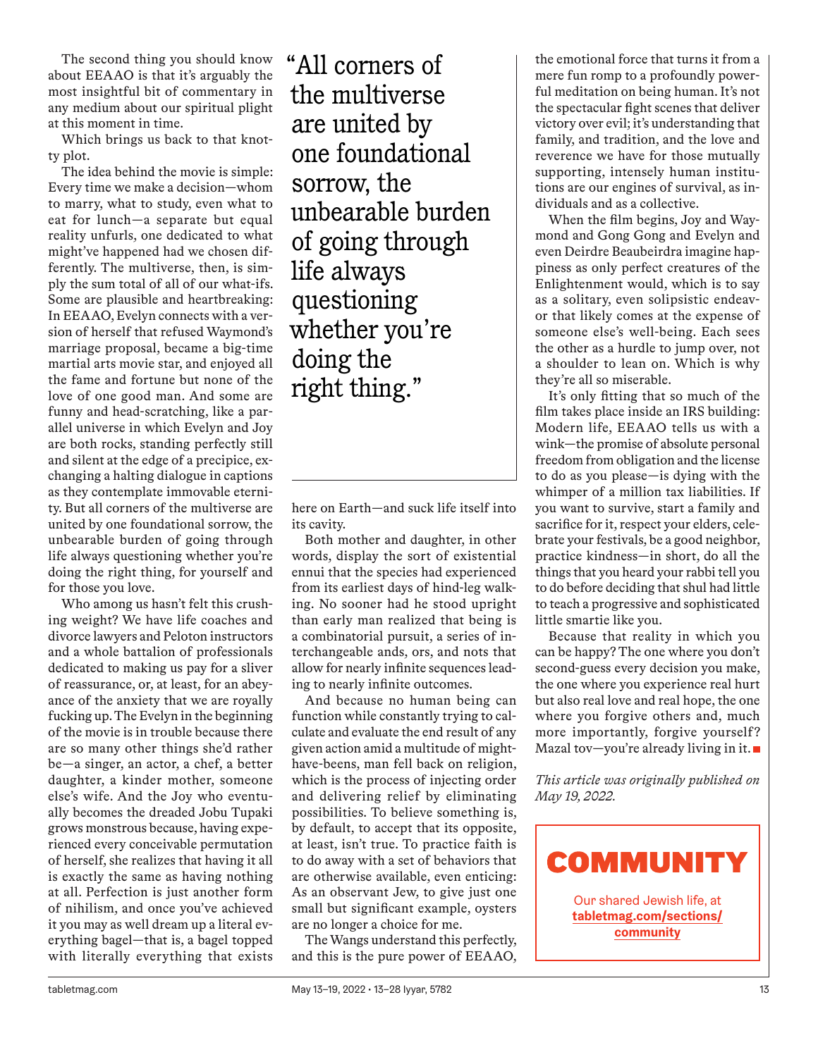The second thing you should know about EEAAO is that it's arguably the most insightful bit of commentary in any medium about our spiritual plight at this moment in time.

Which brings us back to that knotty plot.

The idea behind the movie is simple: Every time we make a decision—whom to marry, what to study, even what to eat for lunch—a separate but equal reality unfurls, one dedicated to what might've happened had we chosen differently. The multiverse, then, is simply the sum total of all of our what-ifs. Some are plausible and heartbreaking: In EEAAO, Evelyn connects with a version of herself that refused Waymond's marriage proposal, became a big-time martial arts movie star, and enjoyed all the fame and fortune but none of the love of one good man. And some are funny and head-scratching, like a parallel universe in which Evelyn and Joy are both rocks, standing perfectly still and silent at the edge of a precipice, exchanging a halting dialogue in captions as they contemplate immovable eternity. But all corners of the multiverse are united by one foundational sorrow, the unbearable burden of going through life always questioning whether you're doing the right thing, for yourself and for those you love.

Who among us hasn't felt this crushing weight? We have life coaches and divorce lawyers and Peloton instructors and a whole battalion of professionals dedicated to making us pay for a sliver of reassurance, or, at least, for an abeyance of the anxiety that we are royally fucking up. The Evelyn in the beginning of the movie is in trouble because there are so many other things she'd rather be—a singer, an actor, a chef, a better daughter, a kinder mother, someone else's wife. And the Joy who eventually becomes the dreaded Jobu Tupaki grows monstrous because, having experienced every conceivable permutation of herself, she realizes that having it all is exactly the same as having nothing at all. Perfection is just another form of nihilism, and once you've achieved it you may as well dream up a literal everything bagel—that is, a bagel topped with literally everything that exists

"All corners of the multiverse are united by one foundational sorrow, the unbearable burden of going through life always questioning whether you're doing the right thing."

here on Earth—and suck life itself into its cavity.

Both mother and daughter, in other words, display the sort of existential ennui that the species had experienced from its earliest days of hind-leg walking. No sooner had he stood upright than early man realized that being is a combinatorial pursuit, a series of interchangeable ands, ors, and nots that allow for nearly infinite sequences leading to nearly infinite outcomes.

And because no human being can function while constantly trying to calculate and evaluate the end result of any given action amid a multitude of mighthave-beens, man fell back on religion, which is the process of injecting order and delivering relief by eliminating possibilities. To believe something is, by default, to accept that its opposite, at least, isn't true. To practice faith is to do away with a set of behaviors that are otherwise available, even enticing: As an observant Jew, to give just one small but significant example, oysters are no longer a choice for me.

The Wangs understand this perfectly, and this is the pure power of EEAAO,

the emotional force that turns it from a mere fun romp to a profoundly powerful meditation on being human. It's not the spectacular fight scenes that deliver victory over evil; it's understanding that family, and tradition, and the love and reverence we have for those mutually supporting, intensely human institutions are our engines of survival, as individuals and as a collective.

When the film begins, Joy and Waymond and Gong Gong and Evelyn and even Deirdre Beaubeirdra imagine happiness as only perfect creatures of the Enlightenment would, which is to say as a solitary, even solipsistic endeavor that likely comes at the expense of someone else's well-being. Each sees the other as a hurdle to jump over, not a shoulder to lean on. Which is why they're all so miserable.

It's only fitting that so much of the film takes place inside an IRS building: Modern life, EEAAO tells us with a wink—the promise of absolute personal freedom from obligation and the license to do as you please—is dying with the whimper of a million tax liabilities. If you want to survive, start a family and sacrifice for it, respect your elders, celebrate your festivals, be a good neighbor, practice kindness—in short, do all the things that you heard your rabbi tell you to do before deciding that shul had little to teach a progressive and sophisticated little smartie like you.

Because that reality in which you can be happy? The one where you don't second-guess every decision you make, the one where you experience real hurt but also real love and real hope, the one where you forgive others and, much more importantly, forgive yourself? Mazal tov-you're already living in it.

*This article was originally published on May 19, 2022.*